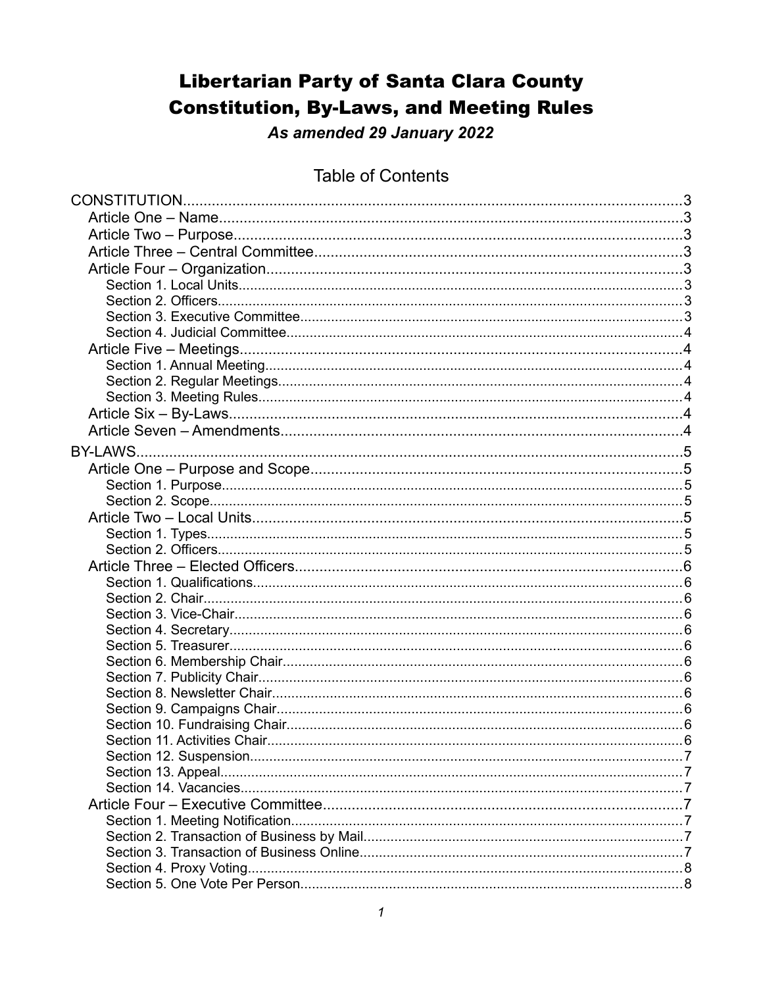# **Libertarian Party of Santa Clara County Constitution, By-Laws, and Meeting Rules**

As amended 29 January 2022

### **Table of Contents**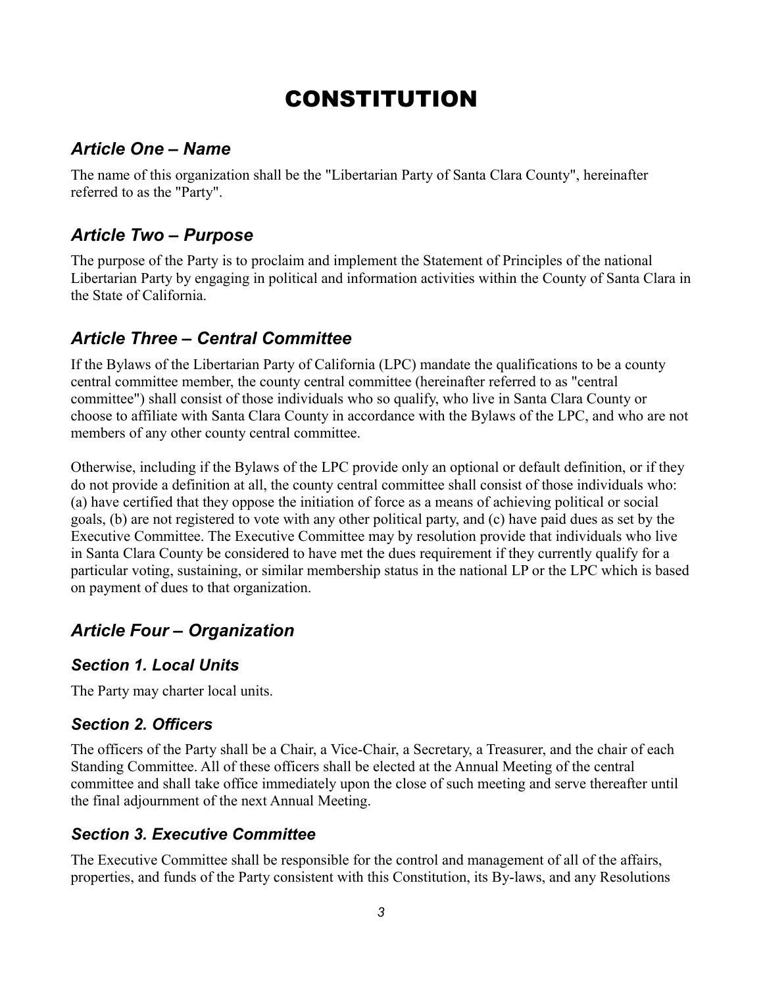# CONSTITUTION

### *Article One – Name*

The name of this organization shall be the "Libertarian Party of Santa Clara County", hereinafter referred to as the "Party".

# *Article Two – Purpose*

The purpose of the Party is to proclaim and implement the Statement of Principles of the national Libertarian Party by engaging in political and information activities within the County of Santa Clara in the State of California.

# *Article Three – Central Committee*

If the Bylaws of the Libertarian Party of California (LPC) mandate the qualifications to be a county central committee member, the county central committee (hereinafter referred to as "central committee") shall consist of those individuals who so qualify, who live in Santa Clara County or choose to affiliate with Santa Clara County in accordance with the Bylaws of the LPC, and who are not members of any other county central committee.

Otherwise, including if the Bylaws of the LPC provide only an optional or default definition, or if they do not provide a definition at all, the county central committee shall consist of those individuals who: (a) have certified that they oppose the initiation of force as a means of achieving political or social goals, (b) are not registered to vote with any other political party, and (c) have paid dues as set by the Executive Committee. The Executive Committee may by resolution provide that individuals who live in Santa Clara County be considered to have met the dues requirement if they currently qualify for a particular voting, sustaining, or similar membership status in the national LP or the LPC which is based on payment of dues to that organization.

# *Article Four – Organization*

#### *Section 1. Local Units*

The Party may charter local units.

#### *Section 2. Officers*

The officers of the Party shall be a Chair, a Vice-Chair, a Secretary, a Treasurer, and the chair of each Standing Committee. All of these officers shall be elected at the Annual Meeting of the central committee and shall take office immediately upon the close of such meeting and serve thereafter until the final adjournment of the next Annual Meeting.

#### *Section 3. Executive Committee*

The Executive Committee shall be responsible for the control and management of all of the affairs, properties, and funds of the Party consistent with this Constitution, its By-laws, and any Resolutions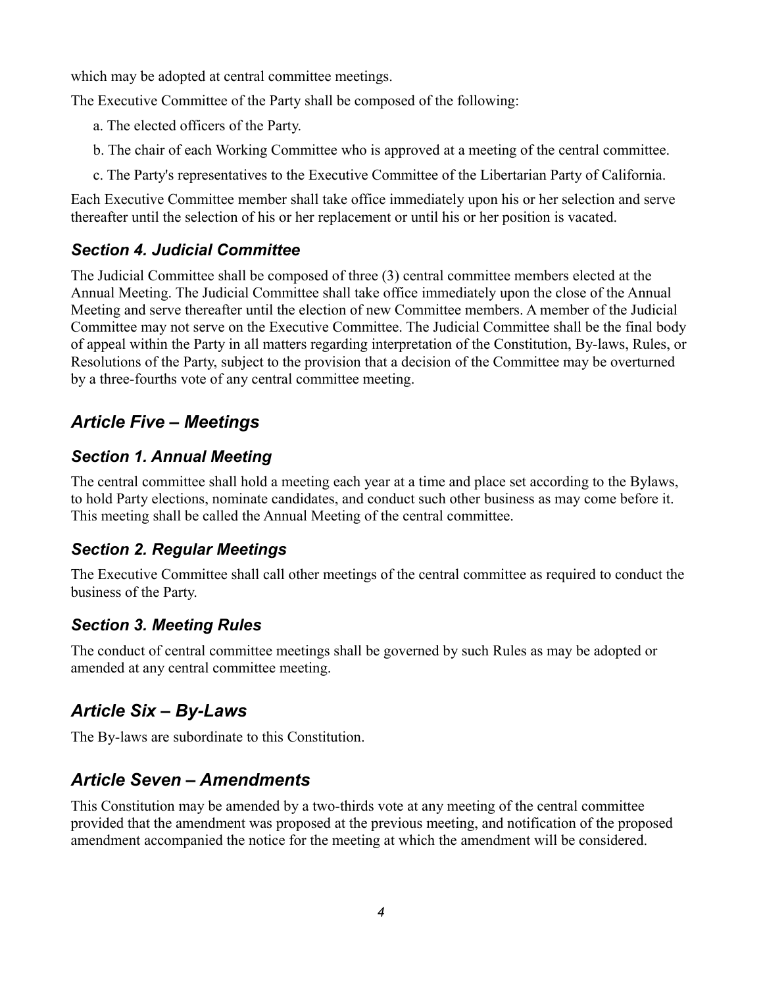which may be adopted at central committee meetings.

The Executive Committee of the Party shall be composed of the following:

- a. The elected officers of the Party.
- b. The chair of each Working Committee who is approved at a meeting of the central committee.
- c. The Party's representatives to the Executive Committee of the Libertarian Party of California.

Each Executive Committee member shall take office immediately upon his or her selection and serve thereafter until the selection of his or her replacement or until his or her position is vacated.

#### *Section 4. Judicial Committee*

The Judicial Committee shall be composed of three (3) central committee members elected at the Annual Meeting. The Judicial Committee shall take office immediately upon the close of the Annual Meeting and serve thereafter until the election of new Committee members. A member of the Judicial Committee may not serve on the Executive Committee. The Judicial Committee shall be the final body of appeal within the Party in all matters regarding interpretation of the Constitution, By-laws, Rules, or Resolutions of the Party, subject to the provision that a decision of the Committee may be overturned by a three-fourths vote of any central committee meeting.

# *Article Five – Meetings*

#### *Section 1. Annual Meeting*

The central committee shall hold a meeting each year at a time and place set according to the Bylaws, to hold Party elections, nominate candidates, and conduct such other business as may come before it. This meeting shall be called the Annual Meeting of the central committee.

#### *Section 2. Regular Meetings*

The Executive Committee shall call other meetings of the central committee as required to conduct the business of the Party.

#### *Section 3. Meeting Rules*

The conduct of central committee meetings shall be governed by such Rules as may be adopted or amended at any central committee meeting.

# *Article Six – By-Laws*

The By-laws are subordinate to this Constitution.

# *Article Seven – Amendments*

This Constitution may be amended by a two-thirds vote at any meeting of the central committee provided that the amendment was proposed at the previous meeting, and notification of the proposed amendment accompanied the notice for the meeting at which the amendment will be considered.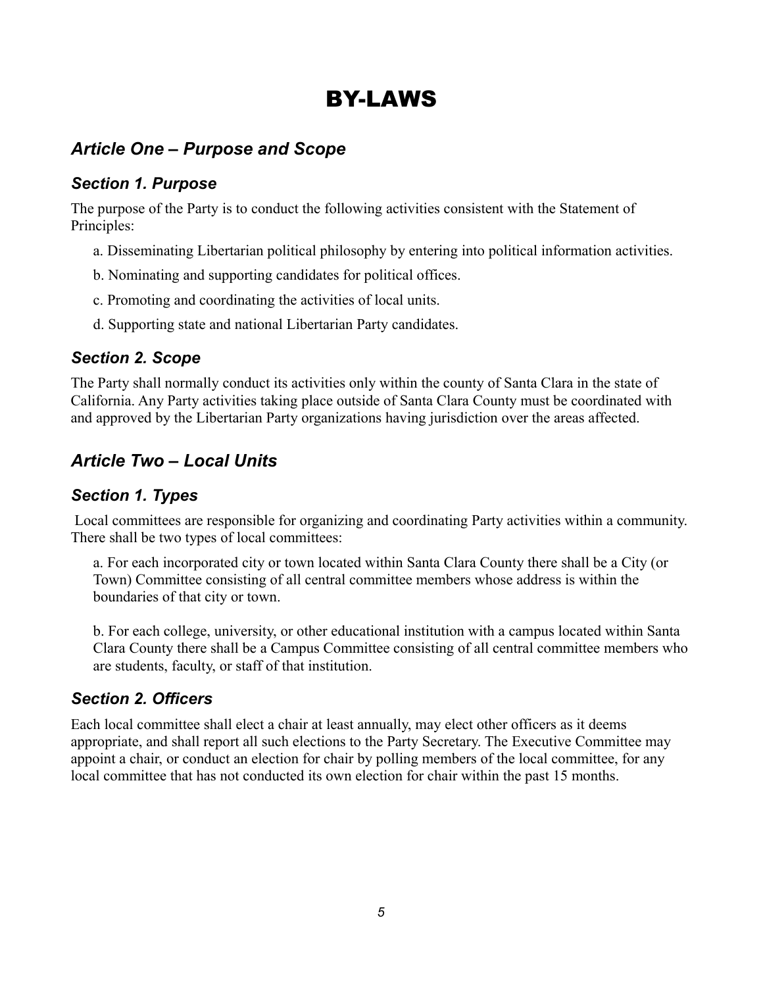# BY-LAWS

# *Article One – Purpose and Scope*

#### *Section 1. Purpose*

The purpose of the Party is to conduct the following activities consistent with the Statement of Principles:

- a. Disseminating Libertarian political philosophy by entering into political information activities.
- b. Nominating and supporting candidates for political offices.
- c. Promoting and coordinating the activities of local units.
- d. Supporting state and national Libertarian Party candidates.

#### *Section 2. Scope*

The Party shall normally conduct its activities only within the county of Santa Clara in the state of California. Any Party activities taking place outside of Santa Clara County must be coordinated with and approved by the Libertarian Party organizations having jurisdiction over the areas affected.

# *Article Two – Local Units*

#### *Section 1. Types*

 Local committees are responsible for organizing and coordinating Party activities within a community. There shall be two types of local committees:

a. For each incorporated city or town located within Santa Clara County there shall be a City (or Town) Committee consisting of all central committee members whose address is within the boundaries of that city or town.

b. For each college, university, or other educational institution with a campus located within Santa Clara County there shall be a Campus Committee consisting of all central committee members who are students, faculty, or staff of that institution.

#### *Section 2. Officers*

Each local committee shall elect a chair at least annually, may elect other officers as it deems appropriate, and shall report all such elections to the Party Secretary. The Executive Committee may appoint a chair, or conduct an election for chair by polling members of the local committee, for any local committee that has not conducted its own election for chair within the past 15 months.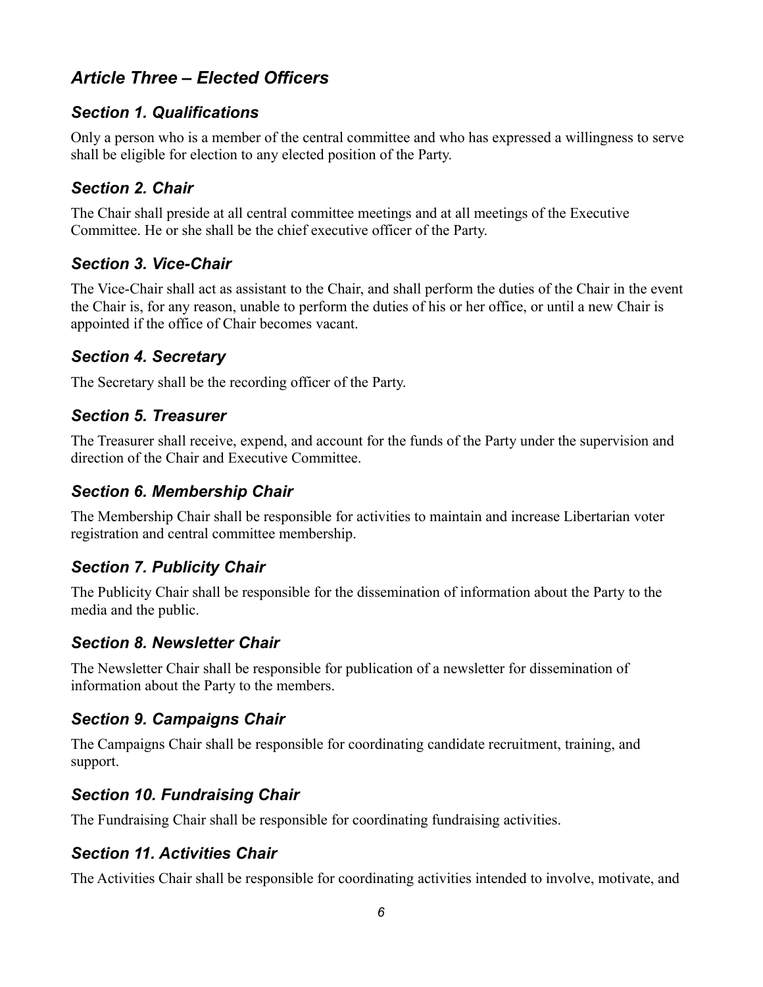# *Article Three – Elected Officers*

#### *Section 1. Qualifications*

Only a person who is a member of the central committee and who has expressed a willingness to serve shall be eligible for election to any elected position of the Party.

#### *Section 2. Chair*

The Chair shall preside at all central committee meetings and at all meetings of the Executive Committee. He or she shall be the chief executive officer of the Party.

#### *Section 3. Vice-Chair*

The Vice-Chair shall act as assistant to the Chair, and shall perform the duties of the Chair in the event the Chair is, for any reason, unable to perform the duties of his or her office, or until a new Chair is appointed if the office of Chair becomes vacant.

#### *Section 4. Secretary*

The Secretary shall be the recording officer of the Party.

#### *Section 5. Treasurer*

The Treasurer shall receive, expend, and account for the funds of the Party under the supervision and direction of the Chair and Executive Committee.

#### *Section 6. Membership Chair*

The Membership Chair shall be responsible for activities to maintain and increase Libertarian voter registration and central committee membership.

#### *Section 7. Publicity Chair*

The Publicity Chair shall be responsible for the dissemination of information about the Party to the media and the public.

#### *Section 8. Newsletter Chair*

The Newsletter Chair shall be responsible for publication of a newsletter for dissemination of information about the Party to the members.

#### *Section 9. Campaigns Chair*

The Campaigns Chair shall be responsible for coordinating candidate recruitment, training, and support.

#### *Section 10. Fundraising Chair*

The Fundraising Chair shall be responsible for coordinating fundraising activities.

#### *Section 11. Activities Chair*

The Activities Chair shall be responsible for coordinating activities intended to involve, motivate, and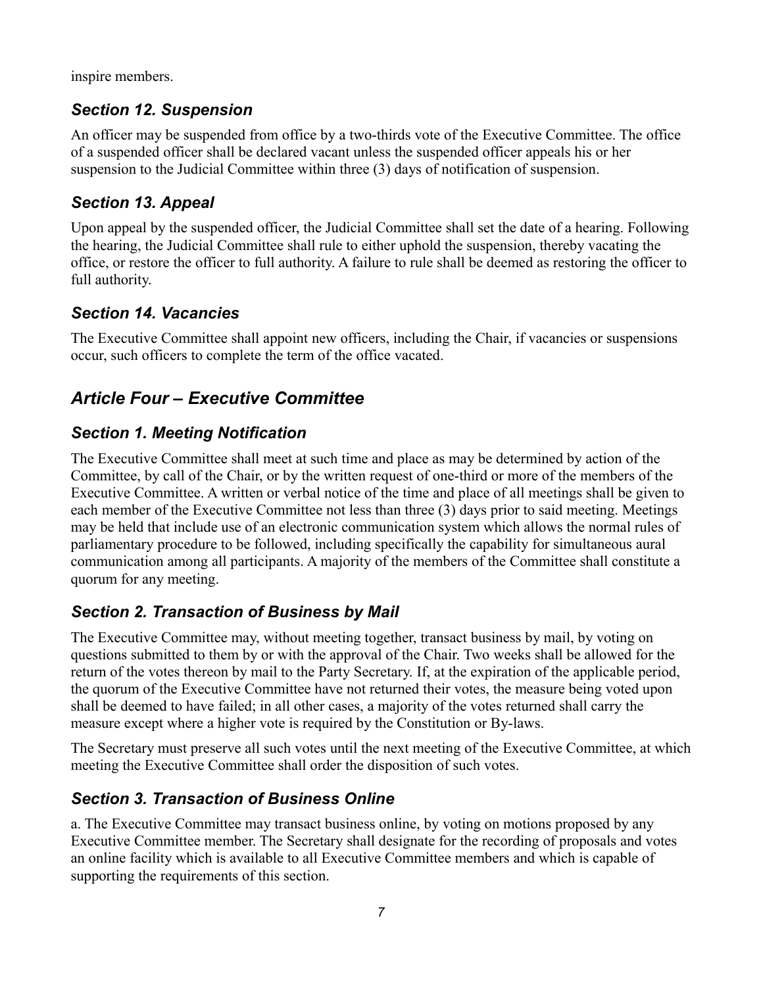inspire members.

#### *Section 12. Suspension*

An officer may be suspended from office by a two-thirds vote of the Executive Committee. The office of a suspended officer shall be declared vacant unless the suspended officer appeals his or her suspension to the Judicial Committee within three (3) days of notification of suspension.

#### *Section 13. Appeal*

Upon appeal by the suspended officer, the Judicial Committee shall set the date of a hearing. Following the hearing, the Judicial Committee shall rule to either uphold the suspension, thereby vacating the office, or restore the officer to full authority. A failure to rule shall be deemed as restoring the officer to full authority.

#### *Section 14. Vacancies*

The Executive Committee shall appoint new officers, including the Chair, if vacancies or suspensions occur, such officers to complete the term of the office vacated.

# *Article Four – Executive Committee*

#### *Section 1. Meeting Notification*

The Executive Committee shall meet at such time and place as may be determined by action of the Committee, by call of the Chair, or by the written request of one-third or more of the members of the Executive Committee. A written or verbal notice of the time and place of all meetings shall be given to each member of the Executive Committee not less than three (3) days prior to said meeting. Meetings may be held that include use of an electronic communication system which allows the normal rules of parliamentary procedure to be followed, including specifically the capability for simultaneous aural communication among all participants. A majority of the members of the Committee shall constitute a quorum for any meeting.

#### *Section 2. Transaction of Business by Mail*

The Executive Committee may, without meeting together, transact business by mail, by voting on questions submitted to them by or with the approval of the Chair. Two weeks shall be allowed for the return of the votes thereon by mail to the Party Secretary. If, at the expiration of the applicable period, the quorum of the Executive Committee have not returned their votes, the measure being voted upon shall be deemed to have failed; in all other cases, a majority of the votes returned shall carry the measure except where a higher vote is required by the Constitution or By-laws.

The Secretary must preserve all such votes until the next meeting of the Executive Committee, at which meeting the Executive Committee shall order the disposition of such votes.

#### *Section 3. Transaction of Business Online*

a. The Executive Committee may transact business online, by voting on motions proposed by any Executive Committee member. The Secretary shall designate for the recording of proposals and votes an online facility which is available to all Executive Committee members and which is capable of supporting the requirements of this section.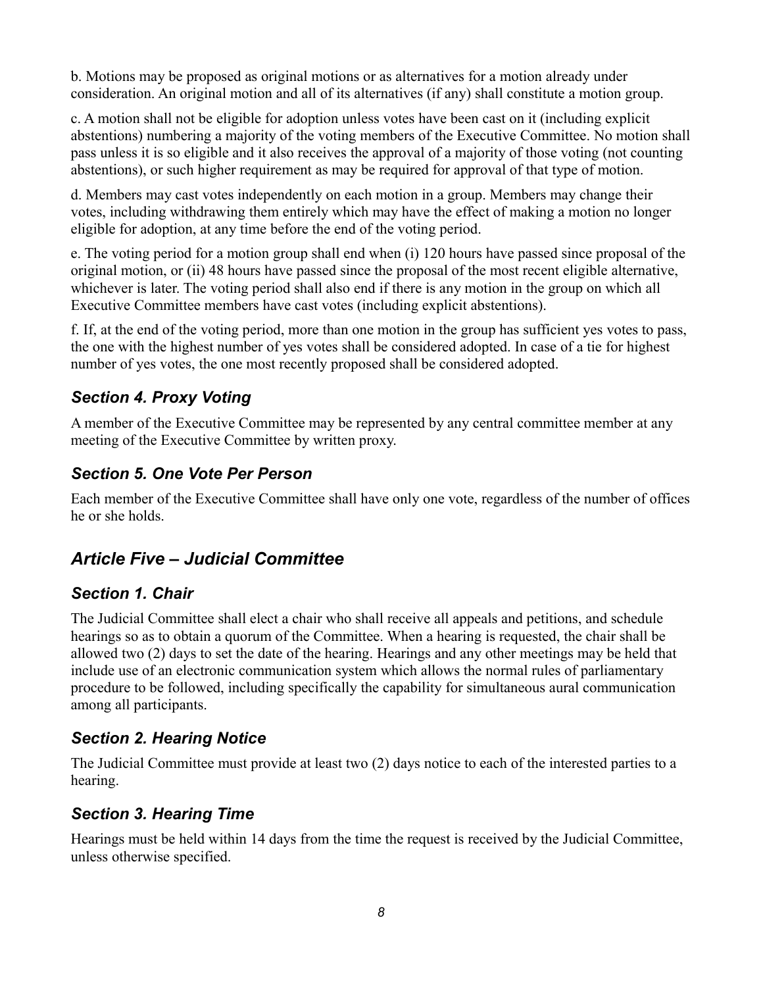b. Motions may be proposed as original motions or as alternatives for a motion already under consideration. An original motion and all of its alternatives (if any) shall constitute a motion group.

c. A motion shall not be eligible for adoption unless votes have been cast on it (including explicit abstentions) numbering a majority of the voting members of the Executive Committee. No motion shall pass unless it is so eligible and it also receives the approval of a majority of those voting (not counting abstentions), or such higher requirement as may be required for approval of that type of motion.

d. Members may cast votes independently on each motion in a group. Members may change their votes, including withdrawing them entirely which may have the effect of making a motion no longer eligible for adoption, at any time before the end of the voting period.

e. The voting period for a motion group shall end when (i) 120 hours have passed since proposal of the original motion, or (ii) 48 hours have passed since the proposal of the most recent eligible alternative, whichever is later. The voting period shall also end if there is any motion in the group on which all Executive Committee members have cast votes (including explicit abstentions).

f. If, at the end of the voting period, more than one motion in the group has sufficient yes votes to pass, the one with the highest number of yes votes shall be considered adopted. In case of a tie for highest number of yes votes, the one most recently proposed shall be considered adopted.

### *Section 4. Proxy Voting*

A member of the Executive Committee may be represented by any central committee member at any meeting of the Executive Committee by written proxy.

#### *Section 5. One Vote Per Person*

Each member of the Executive Committee shall have only one vote, regardless of the number of offices he or she holds.

# *Article Five – Judicial Committee*

#### *Section 1. Chair*

The Judicial Committee shall elect a chair who shall receive all appeals and petitions, and schedule hearings so as to obtain a quorum of the Committee. When a hearing is requested, the chair shall be allowed two (2) days to set the date of the hearing. Hearings and any other meetings may be held that include use of an electronic communication system which allows the normal rules of parliamentary procedure to be followed, including specifically the capability for simultaneous aural communication among all participants.

#### *Section 2. Hearing Notice*

The Judicial Committee must provide at least two (2) days notice to each of the interested parties to a hearing.

#### *Section 3. Hearing Time*

Hearings must be held within 14 days from the time the request is received by the Judicial Committee, unless otherwise specified.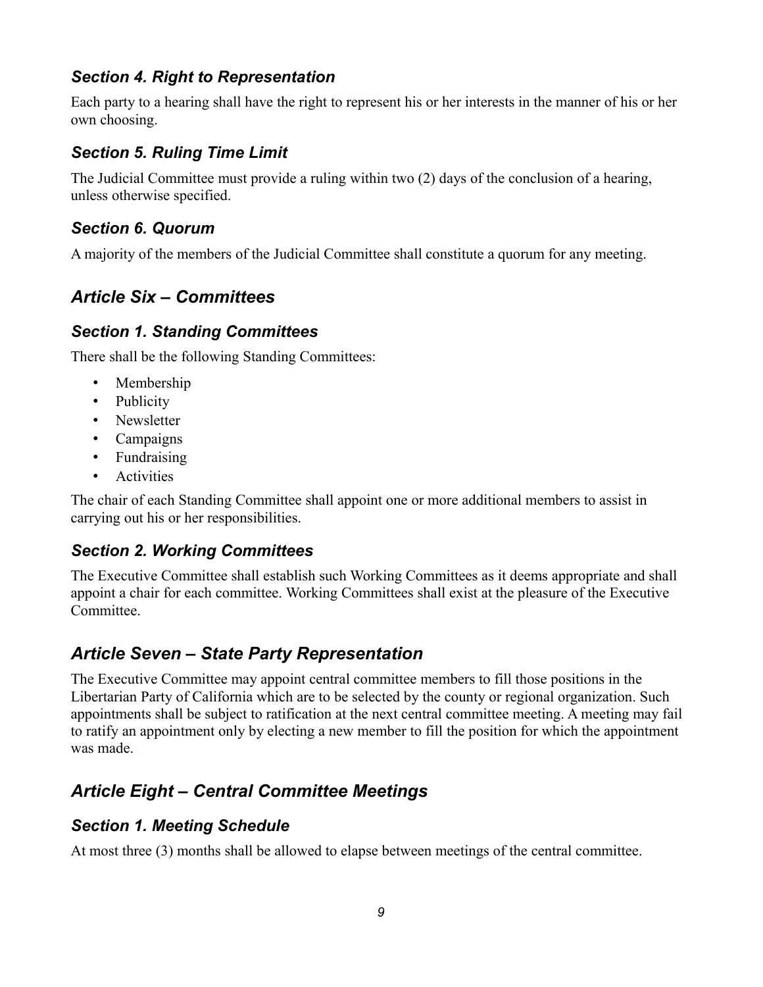#### *Section 4. Right to Representation*

Each party to a hearing shall have the right to represent his or her interests in the manner of his or her own choosing.

#### *Section 5. Ruling Time Limit*

The Judicial Committee must provide a ruling within two (2) days of the conclusion of a hearing, unless otherwise specified.

#### *Section 6. Quorum*

A majority of the members of the Judicial Committee shall constitute a quorum for any meeting.

# *Article Six – Committees*

#### *Section 1. Standing Committees*

There shall be the following Standing Committees:

- Membership
- Publicity
- Newsletter
- Campaigns
- Fundraising
- Activities

The chair of each Standing Committee shall appoint one or more additional members to assist in carrying out his or her responsibilities.

#### *Section 2. Working Committees*

The Executive Committee shall establish such Working Committees as it deems appropriate and shall appoint a chair for each committee. Working Committees shall exist at the pleasure of the Executive Committee.

# *Article Seven – State Party Representation*

The Executive Committee may appoint central committee members to fill those positions in the Libertarian Party of California which are to be selected by the county or regional organization. Such appointments shall be subject to ratification at the next central committee meeting. A meeting may fail to ratify an appointment only by electing a new member to fill the position for which the appointment was made.

# *Article Eight – Central Committee Meetings*

#### *Section 1. Meeting Schedule*

At most three (3) months shall be allowed to elapse between meetings of the central committee.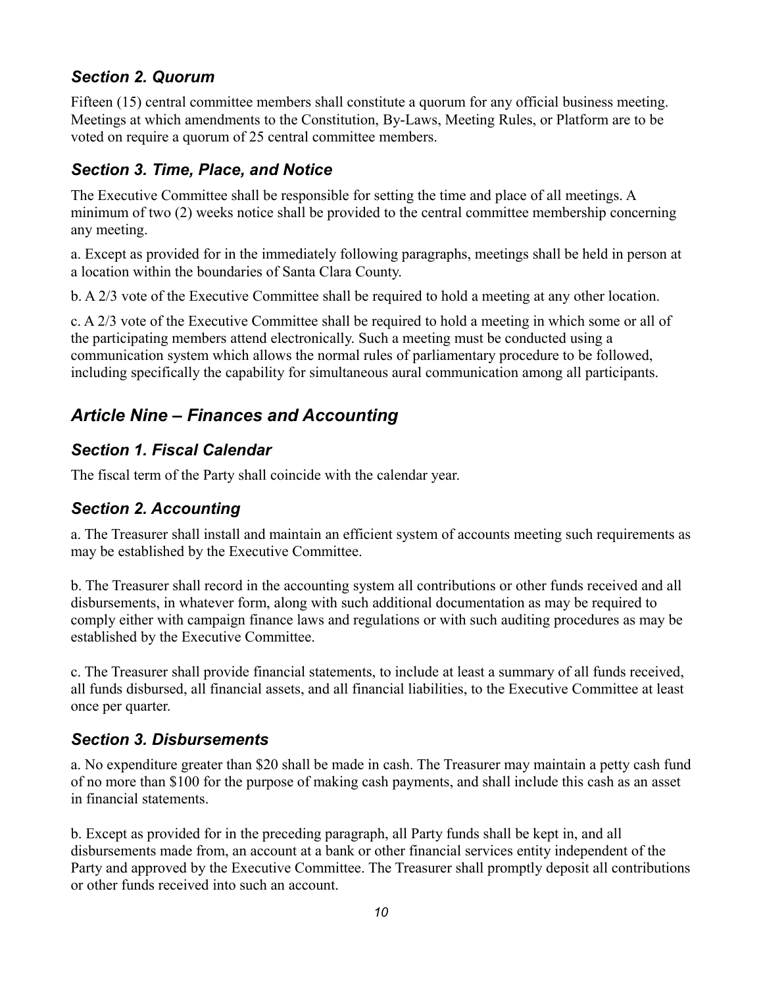#### *Section 2. Quorum*

Fifteen (15) central committee members shall constitute a quorum for any official business meeting. Meetings at which amendments to the Constitution, By-Laws, Meeting Rules, or Platform are to be voted on require a quorum of 25 central committee members.

#### *Section 3. Time, Place, and Notice*

The Executive Committee shall be responsible for setting the time and place of all meetings. A minimum of two (2) weeks notice shall be provided to the central committee membership concerning any meeting.

a. Except as provided for in the immediately following paragraphs, meetings shall be held in person at a location within the boundaries of Santa Clara County.

b. A 2/3 vote of the Executive Committee shall be required to hold a meeting at any other location.

c. A 2/3 vote of the Executive Committee shall be required to hold a meeting in which some or all of the participating members attend electronically. Such a meeting must be conducted using a communication system which allows the normal rules of parliamentary procedure to be followed, including specifically the capability for simultaneous aural communication among all participants.

# *Article Nine – Finances and Accounting*

#### *Section 1. Fiscal Calendar*

The fiscal term of the Party shall coincide with the calendar year.

#### *Section 2. Accounting*

a. The Treasurer shall install and maintain an efficient system of accounts meeting such requirements as may be established by the Executive Committee.

b. The Treasurer shall record in the accounting system all contributions or other funds received and all disbursements, in whatever form, along with such additional documentation as may be required to comply either with campaign finance laws and regulations or with such auditing procedures as may be established by the Executive Committee.

c. The Treasurer shall provide financial statements, to include at least a summary of all funds received, all funds disbursed, all financial assets, and all financial liabilities, to the Executive Committee at least once per quarter.

#### *Section 3. Disbursements*

a. No expenditure greater than \$20 shall be made in cash. The Treasurer may maintain a petty cash fund of no more than \$100 for the purpose of making cash payments, and shall include this cash as an asset in financial statements.

b. Except as provided for in the preceding paragraph, all Party funds shall be kept in, and all disbursements made from, an account at a bank or other financial services entity independent of the Party and approved by the Executive Committee. The Treasurer shall promptly deposit all contributions or other funds received into such an account.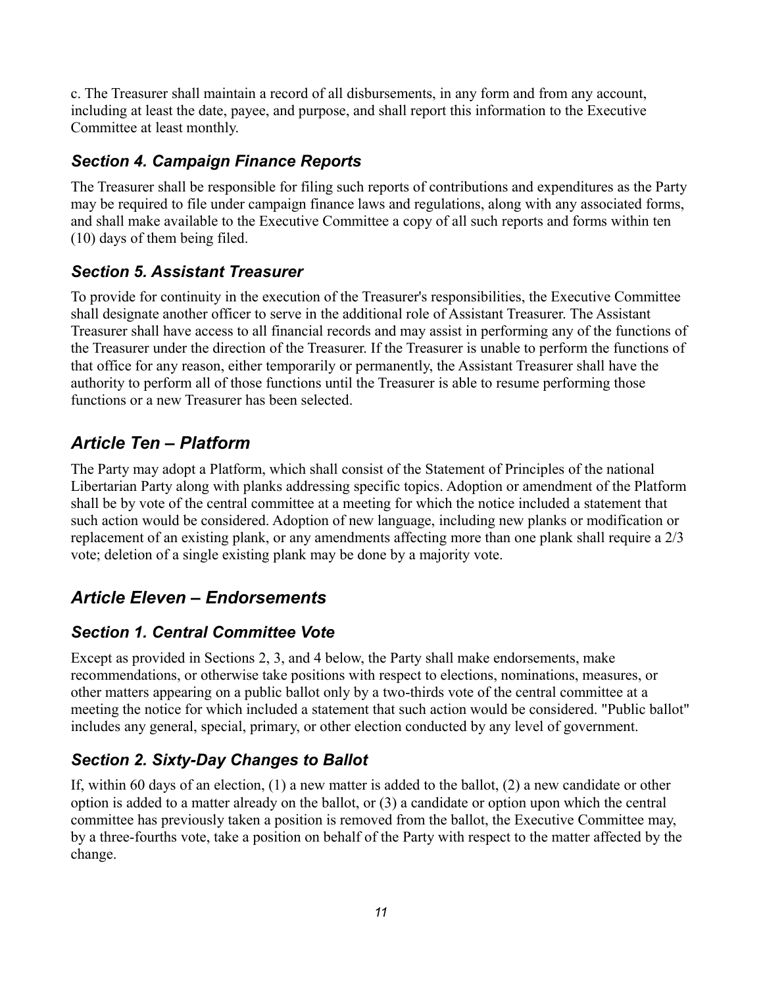c. The Treasurer shall maintain a record of all disbursements, in any form and from any account, including at least the date, payee, and purpose, and shall report this information to the Executive Committee at least monthly.

#### *Section 4. Campaign Finance Reports*

The Treasurer shall be responsible for filing such reports of contributions and expenditures as the Party may be required to file under campaign finance laws and regulations, along with any associated forms, and shall make available to the Executive Committee a copy of all such reports and forms within ten (10) days of them being filed.

#### *Section 5. Assistant Treasurer*

To provide for continuity in the execution of the Treasurer's responsibilities, the Executive Committee shall designate another officer to serve in the additional role of Assistant Treasurer. The Assistant Treasurer shall have access to all financial records and may assist in performing any of the functions of the Treasurer under the direction of the Treasurer. If the Treasurer is unable to perform the functions of that office for any reason, either temporarily or permanently, the Assistant Treasurer shall have the authority to perform all of those functions until the Treasurer is able to resume performing those functions or a new Treasurer has been selected.

# *Article Ten – Platform*

The Party may adopt a Platform, which shall consist of the Statement of Principles of the national Libertarian Party along with planks addressing specific topics. Adoption or amendment of the Platform shall be by vote of the central committee at a meeting for which the notice included a statement that such action would be considered. Adoption of new language, including new planks or modification or replacement of an existing plank, or any amendments affecting more than one plank shall require a 2/3 vote; deletion of a single existing plank may be done by a majority vote.

# *Article Eleven – Endorsements*

#### *Section 1. Central Committee Vote*

Except as provided in Sections 2, 3, and 4 below, the Party shall make endorsements, make recommendations, or otherwise take positions with respect to elections, nominations, measures, or other matters appearing on a public ballot only by a two-thirds vote of the central committee at a meeting the notice for which included a statement that such action would be considered. "Public ballot" includes any general, special, primary, or other election conducted by any level of government.

# *Section 2. Sixty-Day Changes to Ballot*

If, within 60 days of an election,  $(1)$  a new matter is added to the ballot,  $(2)$  a new candidate or other option is added to a matter already on the ballot, or (3) a candidate or option upon which the central committee has previously taken a position is removed from the ballot, the Executive Committee may, by a three-fourths vote, take a position on behalf of the Party with respect to the matter affected by the change.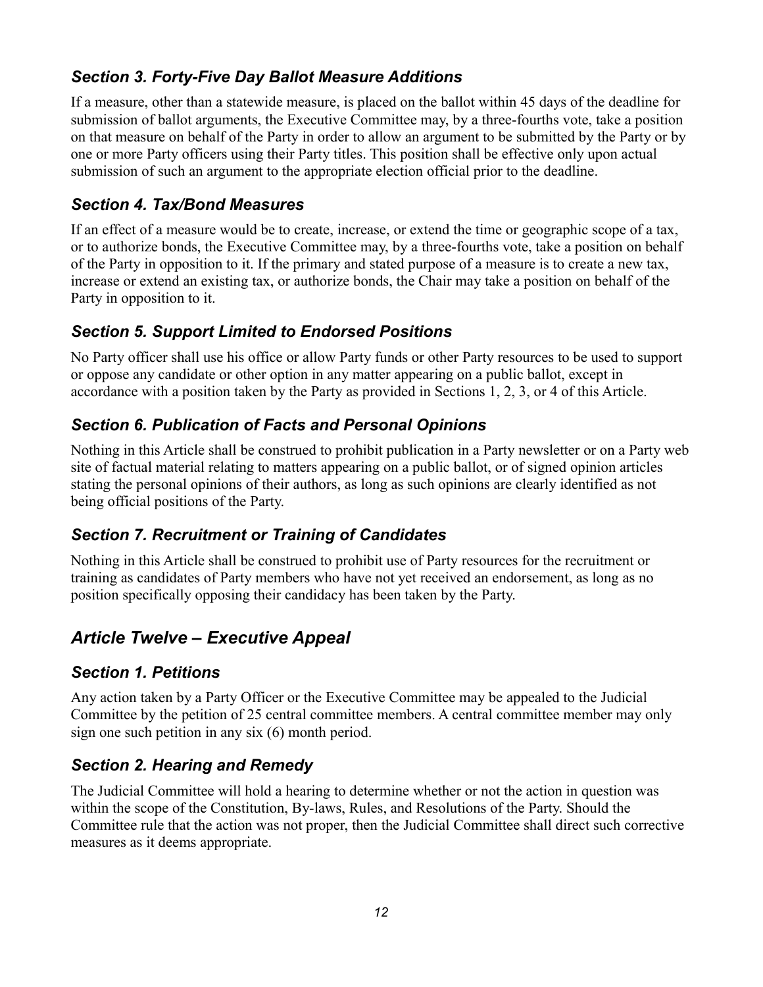### *Section 3. Forty-Five Day Ballot Measure Additions*

If a measure, other than a statewide measure, is placed on the ballot within 45 days of the deadline for submission of ballot arguments, the Executive Committee may, by a three-fourths vote, take a position on that measure on behalf of the Party in order to allow an argument to be submitted by the Party or by one or more Party officers using their Party titles. This position shall be effective only upon actual submission of such an argument to the appropriate election official prior to the deadline.

#### *Section 4. Tax/Bond Measures*

If an effect of a measure would be to create, increase, or extend the time or geographic scope of a tax, or to authorize bonds, the Executive Committee may, by a three-fourths vote, take a position on behalf of the Party in opposition to it. If the primary and stated purpose of a measure is to create a new tax, increase or extend an existing tax, or authorize bonds, the Chair may take a position on behalf of the Party in opposition to it.

#### *Section 5. Support Limited to Endorsed Positions*

No Party officer shall use his office or allow Party funds or other Party resources to be used to support or oppose any candidate or other option in any matter appearing on a public ballot, except in accordance with a position taken by the Party as provided in Sections 1, 2, 3, or 4 of this Article.

#### *Section 6. Publication of Facts and Personal Opinions*

Nothing in this Article shall be construed to prohibit publication in a Party newsletter or on a Party web site of factual material relating to matters appearing on a public ballot, or of signed opinion articles stating the personal opinions of their authors, as long as such opinions are clearly identified as not being official positions of the Party.

#### *Section 7. Recruitment or Training of Candidates*

Nothing in this Article shall be construed to prohibit use of Party resources for the recruitment or training as candidates of Party members who have not yet received an endorsement, as long as no position specifically opposing their candidacy has been taken by the Party.

# *Article Twelve – Executive Appeal*

#### *Section 1. Petitions*

Any action taken by a Party Officer or the Executive Committee may be appealed to the Judicial Committee by the petition of 25 central committee members. A central committee member may only sign one such petition in any six (6) month period.

#### *Section 2. Hearing and Remedy*

The Judicial Committee will hold a hearing to determine whether or not the action in question was within the scope of the Constitution, By-laws, Rules, and Resolutions of the Party. Should the Committee rule that the action was not proper, then the Judicial Committee shall direct such corrective measures as it deems appropriate.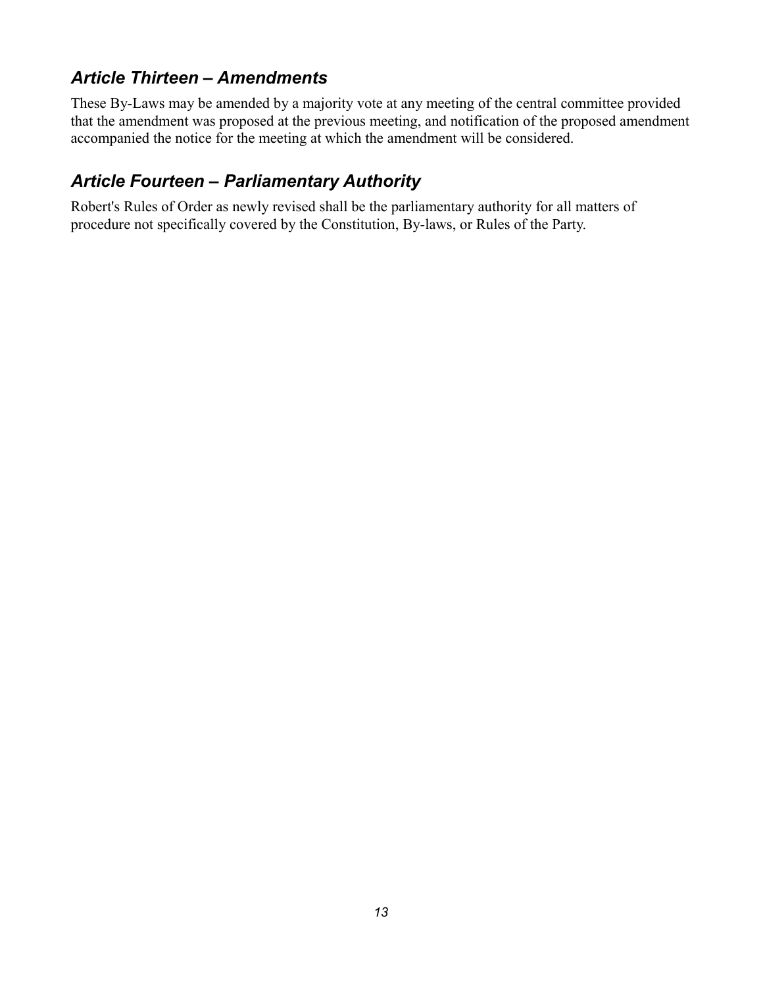### *Article Thirteen – Amendments*

These By-Laws may be amended by a majority vote at any meeting of the central committee provided that the amendment was proposed at the previous meeting, and notification of the proposed amendment accompanied the notice for the meeting at which the amendment will be considered.

# *Article Fourteen – Parliamentary Authority*

Robert's Rules of Order as newly revised shall be the parliamentary authority for all matters of procedure not specifically covered by the Constitution, By-laws, or Rules of the Party.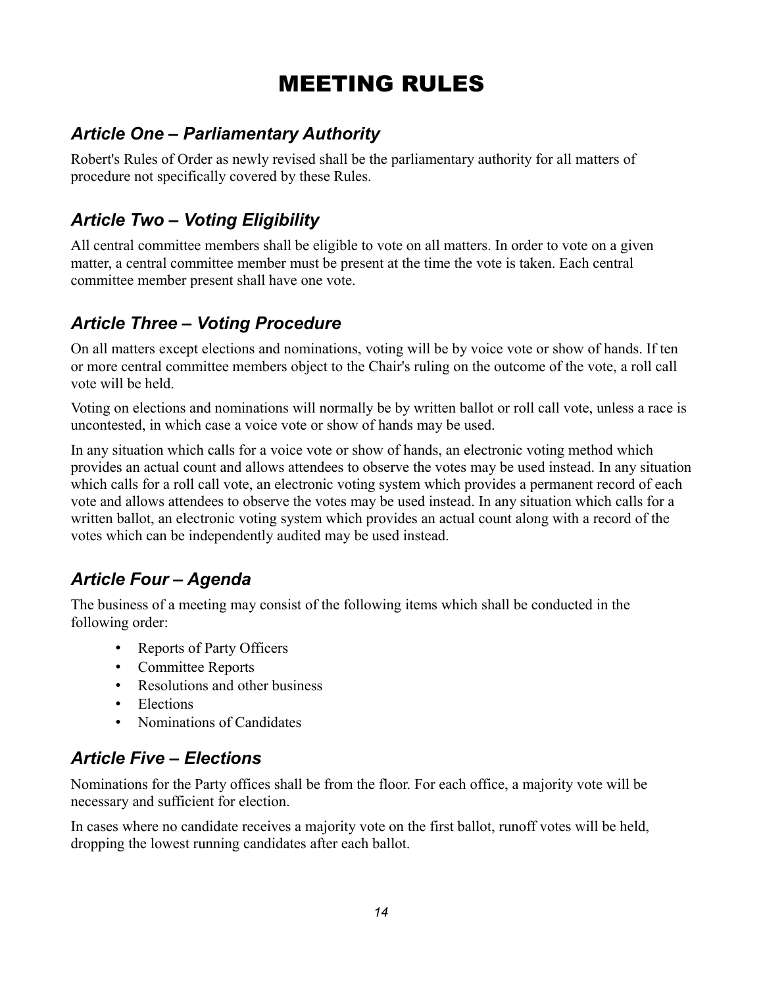# MEETING RULES

# *Article One – Parliamentary Authority*

Robert's Rules of Order as newly revised shall be the parliamentary authority for all matters of procedure not specifically covered by these Rules.

# *Article Two – Voting Eligibility*

All central committee members shall be eligible to vote on all matters. In order to vote on a given matter, a central committee member must be present at the time the vote is taken. Each central committee member present shall have one vote.

# *Article Three – Voting Procedure*

On all matters except elections and nominations, voting will be by voice vote or show of hands. If ten or more central committee members object to the Chair's ruling on the outcome of the vote, a roll call vote will be held.

Voting on elections and nominations will normally be by written ballot or roll call vote, unless a race is uncontested, in which case a voice vote or show of hands may be used.

In any situation which calls for a voice vote or show of hands, an electronic voting method which provides an actual count and allows attendees to observe the votes may be used instead. In any situation which calls for a roll call vote, an electronic voting system which provides a permanent record of each vote and allows attendees to observe the votes may be used instead. In any situation which calls for a written ballot, an electronic voting system which provides an actual count along with a record of the votes which can be independently audited may be used instead.

# *Article Four – Agenda*

The business of a meeting may consist of the following items which shall be conducted in the following order:

- Reports of Party Officers
- Committee Reports
- Resolutions and other business
- Elections
- Nominations of Candidates

# *Article Five – Elections*

Nominations for the Party offices shall be from the floor. For each office, a majority vote will be necessary and sufficient for election.

In cases where no candidate receives a majority vote on the first ballot, runoff votes will be held, dropping the lowest running candidates after each ballot.